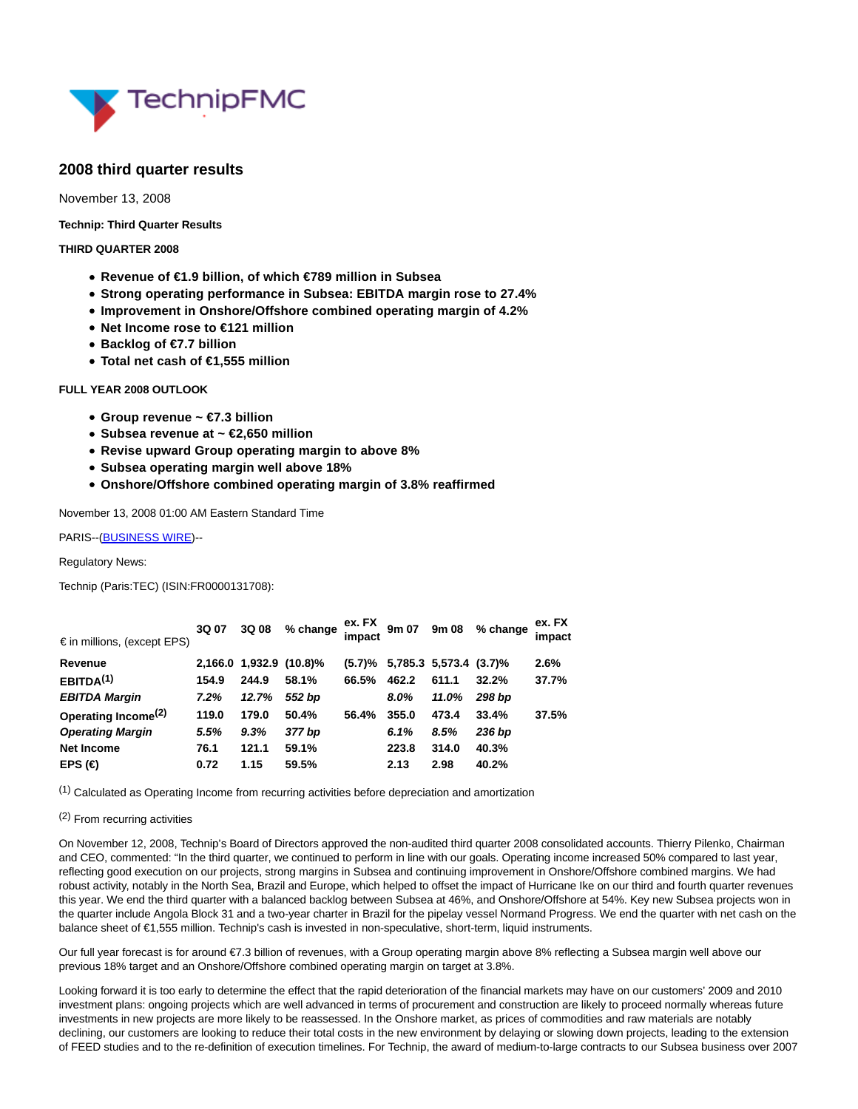

# **2008 third quarter results**

November 13, 2008

**Technip: Third Quarter Results**

# **THIRD QUARTER 2008**

- **Revenue of €1.9 billion, of which €789 million in Subsea**
- **Strong operating performance in Subsea: EBITDA margin rose to 27.4%**
- **Improvement in Onshore/Offshore combined operating margin of 4.2%**
- **Net Income rose to €121 million**
- **Backlog of €7.7 billion**
- **Total net cash of €1,555 million**

# **FULL YEAR 2008 OUTLOOK**

- **Group revenue ~ €7.3 billion**
- **Subsea revenue at ~ €2,650 million**
- **Revise upward Group operating margin to above 8%**
- **Subsea operating margin well above 18%**
- **Onshore/Offshore combined operating margin of 3.8% reaffirmed**

November 13, 2008 01:00 AM Eastern Standard Time

PARIS--[\(BUSINESS WIRE\)-](https://www.businesswire.com/)-

Regulatory News:

Technip (Paris:TEC) (ISIN:FR0000131708):

| $\epsilon$ in millions, (except EPS) | 3Q 07 | 3Q 08 | % change                | ex. FX<br>impact | 9m 07 | 9m 08                               | % change | ex. FX<br>impact |
|--------------------------------------|-------|-------|-------------------------|------------------|-------|-------------------------------------|----------|------------------|
| Revenue                              |       |       | 2,166.0 1,932.9 (10.8)% |                  |       | $(5.7)$ % 5,785.3 5,573.4 $(3.7)$ % |          | 2.6%             |
| EBITDA <sup>(1)</sup>                | 154.9 | 244.9 | 58.1%                   | 66.5%            | 462.2 | 611.1                               | 32.2%    | 37.7%            |
| <b>EBITDA Margin</b>                 | 7.2%  | 12.7% | 552 bp                  |                  | 8.0%  | 11.0%                               | 298 bp   |                  |
| Operating Income <sup>(2)</sup>      | 119.0 | 179.0 | 50.4%                   | 56.4%            | 355.0 | 473.4                               | 33.4%    | 37.5%            |
| <b>Operating Margin</b>              | 5.5%  | 9.3%  | 377 bp                  |                  | 6.1%  | 8.5%                                | 236 bp   |                  |
| Net Income                           | 76.1  | 121.1 | 59.1%                   |                  | 223.8 | 314.0                               | 40.3%    |                  |
| EPS $(\in)$                          | 0.72  | 1.15  | 59.5%                   |                  | 2.13  | 2.98                                | 40.2%    |                  |
|                                      |       |       |                         |                  |       |                                     |          |                  |

 $<sup>(1)</sup>$  Calculated as Operating Income from recurring activities before depreciation and amortization</sup>

#### (2) From recurring activities

On November 12, 2008, Technip's Board of Directors approved the non-audited third quarter 2008 consolidated accounts. Thierry Pilenko, Chairman and CEO, commented: "In the third quarter, we continued to perform in line with our goals. Operating income increased 50% compared to last year, reflecting good execution on our projects, strong margins in Subsea and continuing improvement in Onshore/Offshore combined margins. We had robust activity, notably in the North Sea, Brazil and Europe, which helped to offset the impact of Hurricane Ike on our third and fourth quarter revenues this year. We end the third quarter with a balanced backlog between Subsea at 46%, and Onshore/Offshore at 54%. Key new Subsea projects won in the quarter include Angola Block 31 and a two-year charter in Brazil for the pipelay vessel Normand Progress. We end the quarter with net cash on the balance sheet of €1,555 million. Technip's cash is invested in non-speculative, short-term, liquid instruments.

Our full year forecast is for around €7.3 billion of revenues, with a Group operating margin above 8% reflecting a Subsea margin well above our previous 18% target and an Onshore/Offshore combined operating margin on target at 3.8%.

Looking forward it is too early to determine the effect that the rapid deterioration of the financial markets may have on our customers' 2009 and 2010 investment plans: ongoing projects which are well advanced in terms of procurement and construction are likely to proceed normally whereas future investments in new projects are more likely to be reassessed. In the Onshore market, as prices of commodities and raw materials are notably declining, our customers are looking to reduce their total costs in the new environment by delaying or slowing down projects, leading to the extension of FEED studies and to the re-definition of execution timelines. For Technip, the award of medium-to-large contracts to our Subsea business over 2007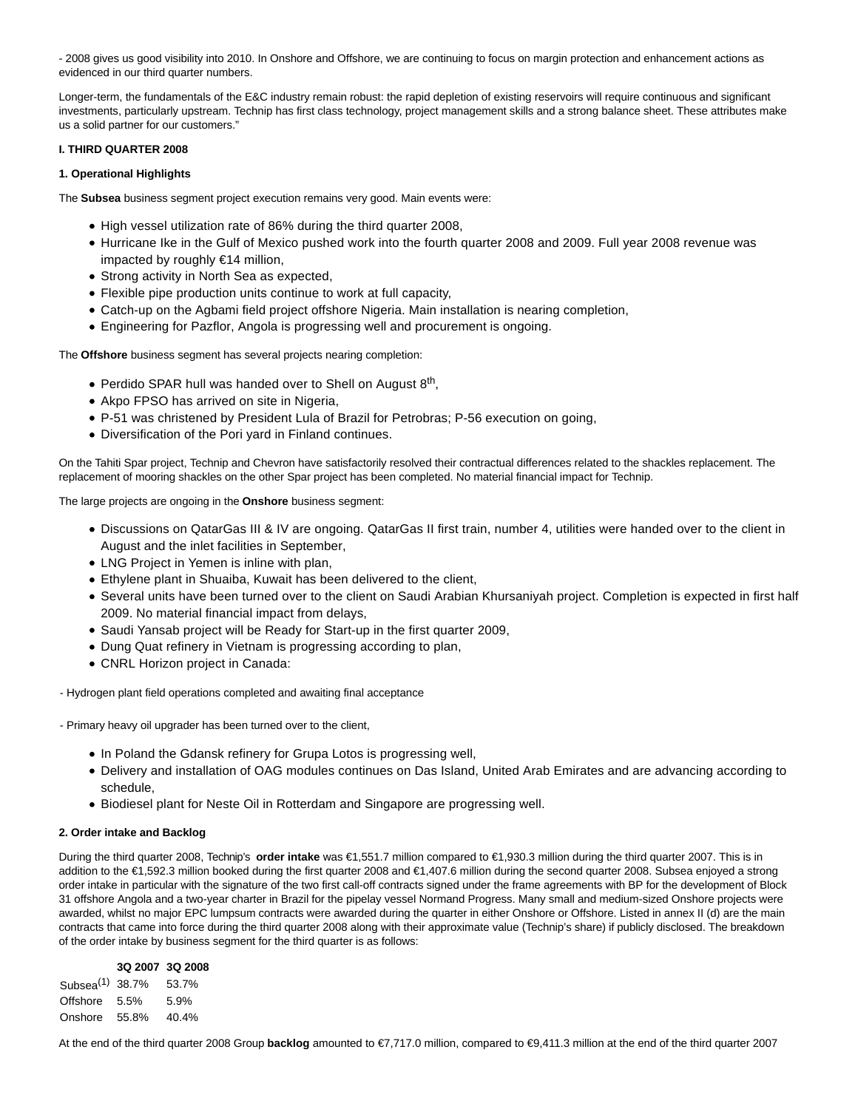- 2008 gives us good visibility into 2010. In Onshore and Offshore, we are continuing to focus on margin protection and enhancement actions as evidenced in our third quarter numbers.

Longer-term, the fundamentals of the E&C industry remain robust: the rapid depletion of existing reservoirs will require continuous and significant investments, particularly upstream. Technip has first class technology, project management skills and a strong balance sheet. These attributes make us a solid partner for our customers."

# **I. THIRD QUARTER 2008**

# **1. Operational Highlights**

The **Subsea** business segment project execution remains very good. Main events were:

- High vessel utilization rate of 86% during the third quarter 2008,
- Hurricane Ike in the Gulf of Mexico pushed work into the fourth quarter 2008 and 2009. Full year 2008 revenue was impacted by roughly €14 million,
- Strong activity in North Sea as expected,
- Flexible pipe production units continue to work at full capacity,
- Catch-up on the Agbami field project offshore Nigeria. Main installation is nearing completion,
- Engineering for Pazflor, Angola is progressing well and procurement is ongoing.

The **Offshore** business segment has several projects nearing completion:

- Perdido SPAR hull was handed over to Shell on August 8<sup>th</sup>,
- Akpo FPSO has arrived on site in Nigeria,
- P-51 was christened by President Lula of Brazil for Petrobras; P-56 execution on going,
- Diversification of the Pori yard in Finland continues.

On the Tahiti Spar project, Technip and Chevron have satisfactorily resolved their contractual differences related to the shackles replacement. The replacement of mooring shackles on the other Spar project has been completed. No material financial impact for Technip.

The large projects are ongoing in the **Onshore** business segment:

- Discussions on QatarGas III & IV are ongoing. QatarGas II first train, number 4, utilities were handed over to the client in August and the inlet facilities in September,
- LNG Project in Yemen is inline with plan,
- Ethylene plant in Shuaiba, Kuwait has been delivered to the client,
- Several units have been turned over to the client on Saudi Arabian Khursaniyah project. Completion is expected in first half 2009. No material financial impact from delays,
- Saudi Yansab project will be Ready for Start-up in the first quarter 2009,
- Dung Quat refinery in Vietnam is progressing according to plan,
- CNRL Horizon project in Canada:
- Hydrogen plant field operations completed and awaiting final acceptance

- Primary heavy oil upgrader has been turned over to the client,

- In Poland the Gdansk refinery for Grupa Lotos is progressing well,
- Delivery and installation of OAG modules continues on Das Island, United Arab Emirates and are advancing according to schedule,
- Biodiesel plant for Neste Oil in Rotterdam and Singapore are progressing well.

# **2. Order intake and Backlog**

During the third quarter 2008, Technip's **order intake** was €1,551.7 million compared to €1,930.3 million during the third quarter 2007. This is in addition to the €1,592.3 million booked during the first quarter 2008 and €1,407.6 million during the second quarter 2008. Subsea enjoyed a strong order intake in particular with the signature of the two first call-off contracts signed under the frame agreements with BP for the development of Block 31 offshore Angola and a two-year charter in Brazil for the pipelay vessel Normand Progress. Many small and medium-sized Onshore projects were awarded, whilst no major EPC lumpsum contracts were awarded during the quarter in either Onshore or Offshore. Listed in annex II (d) are the main contracts that came into force during the third quarter 2008 along with their approximate value (Technip's share) if publicly disclosed. The breakdown of the order intake by business segment for the third quarter is as follows:

#### **3Q 2007 3Q 2008**

Subsea(1) 38.7% 53.7% Offshore 5.5% 5.9% Onshore 55.8% 40.4%

At the end of the third quarter 2008 Group **backlog** amounted to €7,717.0 million, compared to €9,411.3 million at the end of the third quarter 2007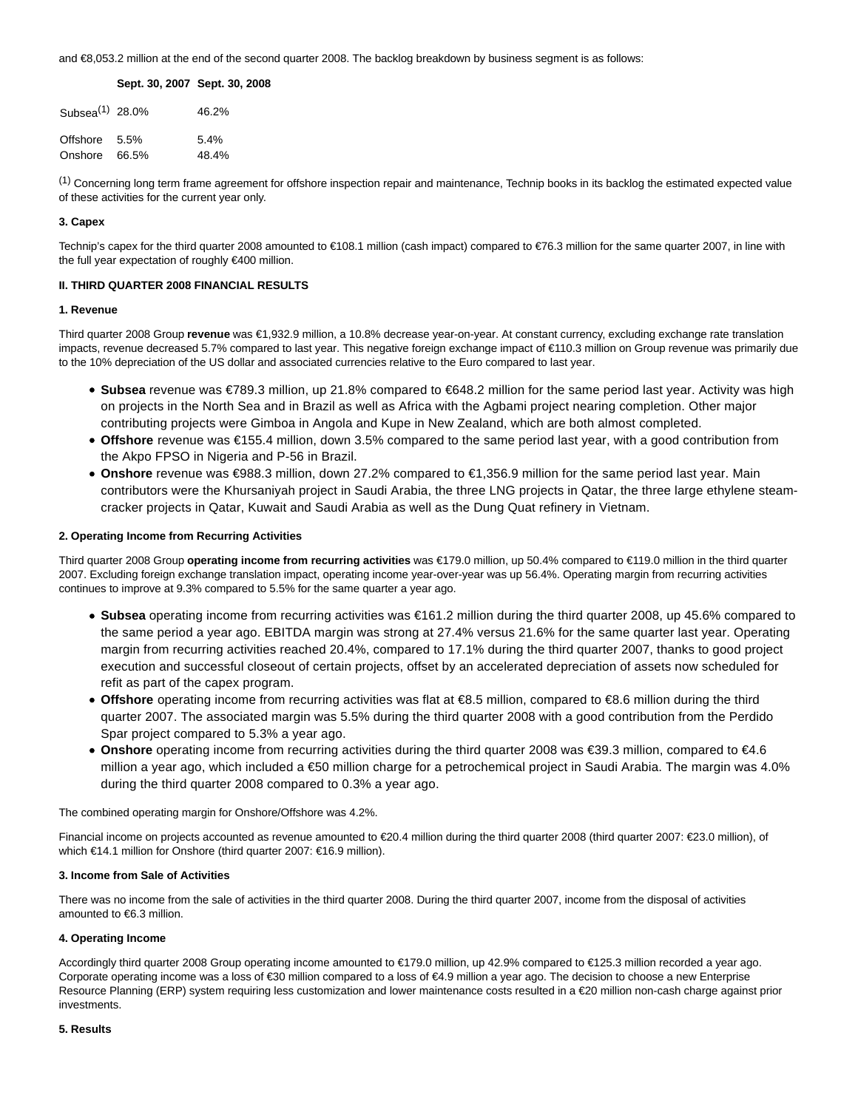and €8,053.2 million at the end of the second quarter 2008. The backlog breakdown by business segment is as follows:

#### **Sept. 30, 2007 Sept. 30, 2008**

| Subsea $(1)$ 28.0% | 46.2%   |
|--------------------|---------|
| Offshore 5.5%      | $5.4\%$ |
| Onshore 66.5%      | 48.4%   |

(1) Concerning long term frame agreement for offshore inspection repair and maintenance, Technip books in its backlog the estimated expected value of these activities for the current year only.

# **3. Capex**

Technip's capex for the third quarter 2008 amounted to €108.1 million (cash impact) compared to €76.3 million for the same quarter 2007, in line with the full year expectation of roughly €400 million.

### **II. THIRD QUARTER 2008 FINANCIAL RESULTS**

#### **1. Revenue**

Third quarter 2008 Group **revenue** was €1,932.9 million, a 10.8% decrease year-on-year. At constant currency, excluding exchange rate translation impacts, revenue decreased 5.7% compared to last year. This negative foreign exchange impact of €110.3 million on Group revenue was primarily due to the 10% depreciation of the US dollar and associated currencies relative to the Euro compared to last year.

- **Subsea** revenue was €789.3 million, up 21.8% compared to €648.2 million for the same period last year. Activity was high on projects in the North Sea and in Brazil as well as Africa with the Agbami project nearing completion. Other major contributing projects were Gimboa in Angola and Kupe in New Zealand, which are both almost completed.
- **Offshore** revenue was €155.4 million, down 3.5% compared to the same period last year, with a good contribution from the Akpo FPSO in Nigeria and P-56 in Brazil.
- **Onshore** revenue was €988.3 million, down 27.2% compared to €1,356.9 million for the same period last year. Main contributors were the Khursaniyah project in Saudi Arabia, the three LNG projects in Qatar, the three large ethylene steamcracker projects in Qatar, Kuwait and Saudi Arabia as well as the Dung Quat refinery in Vietnam.

# **2. Operating Income from Recurring Activities**

Third quarter 2008 Group **operating income from recurring activities** was €179.0 million, up 50.4% compared to €119.0 million in the third quarter 2007. Excluding foreign exchange translation impact, operating income year-over-year was up 56.4%. Operating margin from recurring activities continues to improve at 9.3% compared to 5.5% for the same quarter a year ago.

- **Subsea** operating income from recurring activities was €161.2 million during the third quarter 2008, up 45.6% compared to the same period a year ago. EBITDA margin was strong at 27.4% versus 21.6% for the same quarter last year. Operating margin from recurring activities reached 20.4%, compared to 17.1% during the third quarter 2007, thanks to good project execution and successful closeout of certain projects, offset by an accelerated depreciation of assets now scheduled for refit as part of the capex program.
- **Offshore** operating income from recurring activities was flat at €8.5 million, compared to €8.6 million during the third quarter 2007. The associated margin was 5.5% during the third quarter 2008 with a good contribution from the Perdido Spar project compared to 5.3% a year ago.
- **Onshore** operating income from recurring activities during the third quarter 2008 was €39.3 million, compared to €4.6 million a year ago, which included a €50 million charge for a petrochemical project in Saudi Arabia. The margin was 4.0% during the third quarter 2008 compared to 0.3% a year ago.

The combined operating margin for Onshore/Offshore was 4.2%.

Financial income on projects accounted as revenue amounted to €20.4 million during the third quarter 2008 (third quarter 2007: €23.0 million), of which €14.1 million for Onshore (third quarter 2007: €16.9 million).

# **3. Income from Sale of Activities**

There was no income from the sale of activities in the third quarter 2008. During the third quarter 2007, income from the disposal of activities amounted to €6.3 million.

# **4. Operating Income**

Accordingly third quarter 2008 Group operating income amounted to €179.0 million, up 42.9% compared to €125.3 million recorded a year ago. Corporate operating income was a loss of €30 million compared to a loss of €4.9 million a year ago. The decision to choose a new Enterprise Resource Planning (ERP) system requiring less customization and lower maintenance costs resulted in a €20 million non-cash charge against prior investments.

# **5. Results**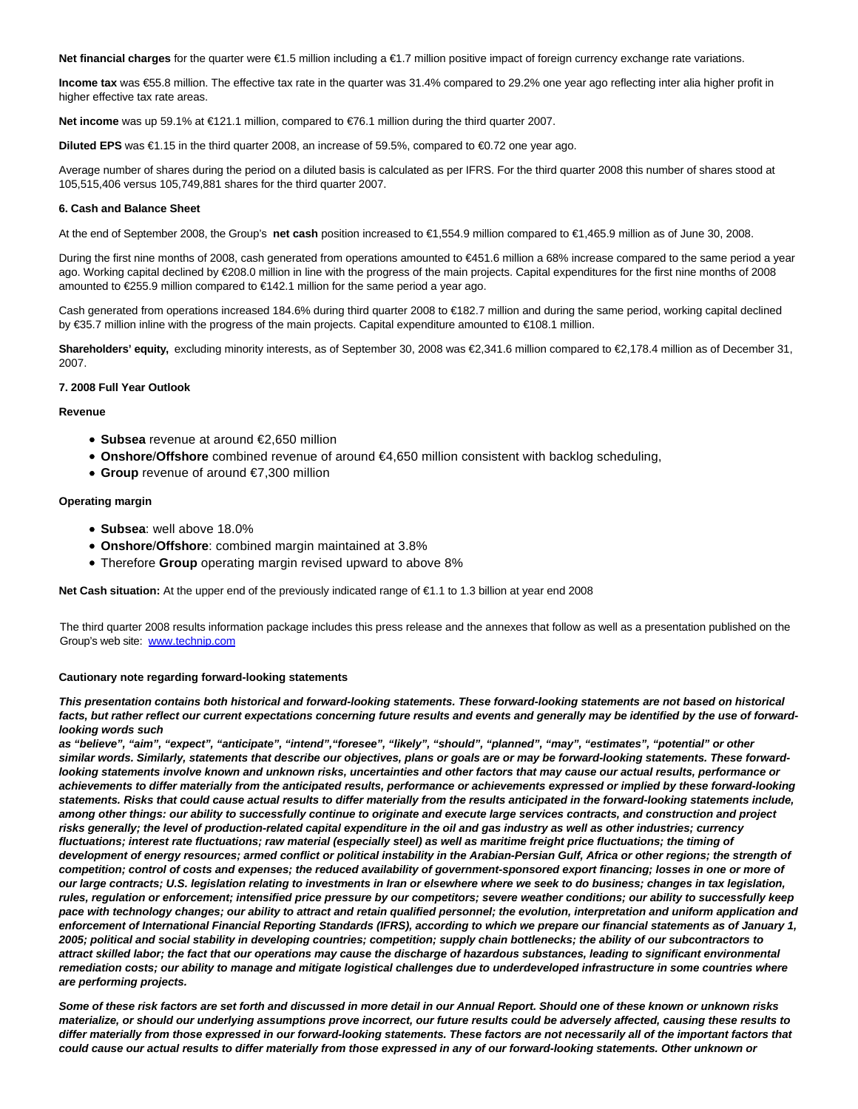**Net financial charges** for the quarter were €1.5 million including a €1.7 million positive impact of foreign currency exchange rate variations.

**Income tax** was €55.8 million. The effective tax rate in the quarter was 31.4% compared to 29.2% one year ago reflecting inter alia higher profit in higher effective tax rate areas.

**Net income** was up 59.1% at €121.1 million, compared to €76.1 million during the third quarter 2007.

**Diluted EPS** was €1.15 in the third quarter 2008, an increase of 59.5%, compared to €0.72 one year ago.

Average number of shares during the period on a diluted basis is calculated as per IFRS. For the third quarter 2008 this number of shares stood at 105,515,406 versus 105,749,881 shares for the third quarter 2007.

#### **6. Cash and Balance Sheet**

At the end of September 2008, the Group's **net cash** position increased to €1,554.9 million compared to €1,465.9 million as of June 30, 2008.

During the first nine months of 2008, cash generated from operations amounted to €451.6 million a 68% increase compared to the same period a year ago. Working capital declined by €208.0 million in line with the progress of the main projects. Capital expenditures for the first nine months of 2008 amounted to €255.9 million compared to €142.1 million for the same period a year ago.

Cash generated from operations increased 184.6% during third quarter 2008 to €182.7 million and during the same period, working capital declined by €35.7 million inline with the progress of the main projects. Capital expenditure amounted to €108.1 million.

**Shareholders' equity,** excluding minority interests, as of September 30, 2008 was €2,341.6 million compared to €2,178.4 million as of December 31, 2007.

#### **7. 2008 Full Year Outlook**

**Revenue**

- **Subsea** revenue at around €2,650 million
- **Onshore**/**Offshore** combined revenue of around €4,650 million consistent with backlog scheduling,
- **Group** revenue of around €7,300 million

#### **Operating margin**

- **Subsea**: well above 18.0%
- **Onshore**/**Offshore**: combined margin maintained at 3.8%
- Therefore **Group** operating margin revised upward to above 8%

**Net Cash situation:** At the upper end of the previously indicated range of €1.1 to 1.3 billion at year end 2008

The third quarter 2008 results information package includes this press release and the annexes that follow as well as a presentation published on the Group's web site: [www.technip.com](http://cts.businesswire.com/ct/CT?id=smartlink&url=http%3A%2F%2Fwww.technip.com&esheet=5830170&lan=en_US&anchor=www.technip.com&index=1)

#### **Cautionary note regarding forward-looking statements**

**This presentation contains both historical and forward-looking statements. These forward-looking statements are not based on historical facts, but rather reflect our current expectations concerning future results and events and generally may be identified by the use of forwardlooking words such**

**as "believe", "aim", "expect", "anticipate", "intend","foresee", "likely", "should", "planned", "may", "estimates", "potential" or other similar words. Similarly, statements that describe our objectives, plans or goals are or may be forward-looking statements. These forwardlooking statements involve known and unknown risks, uncertainties and other factors that may cause our actual results, performance or achievements to differ materially from the anticipated results, performance or achievements expressed or implied by these forward-looking statements. Risks that could cause actual results to differ materially from the results anticipated in the forward-looking statements include, among other things: our ability to successfully continue to originate and execute large services contracts, and construction and project risks generally; the level of production-related capital expenditure in the oil and gas industry as well as other industries; currency fluctuations; interest rate fluctuations; raw material (especially steel) as well as maritime freight price fluctuations; the timing of development of energy resources; armed conflict or political instability in the Arabian-Persian Gulf, Africa or other regions; the strength of competition; control of costs and expenses; the reduced availability of government-sponsored export financing; losses in one or more of our large contracts; U.S. legislation relating to investments in Iran or elsewhere where we seek to do business; changes in tax legislation, rules, regulation or enforcement; intensified price pressure by our competitors; severe weather conditions; our ability to successfully keep pace with technology changes; our ability to attract and retain qualified personnel; the evolution, interpretation and uniform application and enforcement of International Financial Reporting Standards (IFRS), according to which we prepare our financial statements as of January 1, 2005; political and social stability in developing countries; competition; supply chain bottlenecks; the ability of our subcontractors to attract skilled labor; the fact that our operations may cause the discharge of hazardous substances, leading to significant environmental remediation costs; our ability to manage and mitigate logistical challenges due to underdeveloped infrastructure in some countries where are performing projects.**

**Some of these risk factors are set forth and discussed in more detail in our Annual Report. Should one of these known or unknown risks materialize, or should our underlying assumptions prove incorrect, our future results could be adversely affected, causing these results to differ materially from those expressed in our forward-looking statements. These factors are not necessarily all of the important factors that could cause our actual results to differ materially from those expressed in any of our forward-looking statements. Other unknown or**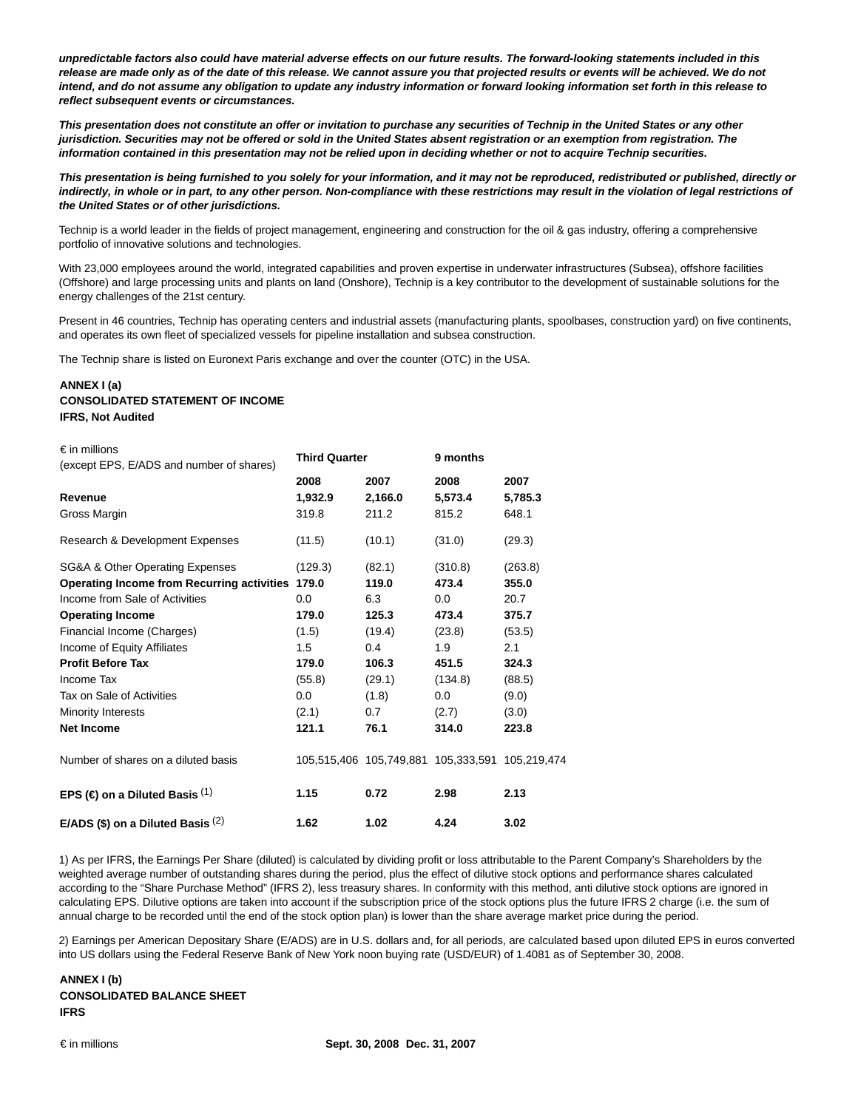**unpredictable factors also could have material adverse effects on our future results. The forward-looking statements included in this release are made only as of the date of this release. We cannot assure you that projected results or events will be achieved. We do not intend, and do not assume any obligation to update any industry information or forward looking information set forth in this release to reflect subsequent events or circumstances.**

**This presentation does not constitute an offer or invitation to purchase any securities of Technip in the United States or any other jurisdiction. Securities may not be offered or sold in the United States absent registration or an exemption from registration. The information contained in this presentation may not be relied upon in deciding whether or not to acquire Technip securities.**

**This presentation is being furnished to you solely for your information, and it may not be reproduced, redistributed or published, directly or indirectly, in whole or in part, to any other person. Non-compliance with these restrictions may result in the violation of legal restrictions of the United States or of other jurisdictions.**

Technip is a world leader in the fields of project management, engineering and construction for the oil & gas industry, offering a comprehensive portfolio of innovative solutions and technologies.

With 23,000 employees around the world, integrated capabilities and proven expertise in underwater infrastructures (Subsea), offshore facilities (Offshore) and large processing units and plants on land (Onshore), Technip is a key contributor to the development of sustainable solutions for the energy challenges of the 21st century.

Present in 46 countries, Technip has operating centers and industrial assets (manufacturing plants, spoolbases, construction yard) on five continents, and operates its own fleet of specialized vessels for pipeline installation and subsea construction.

The Technip share is listed on Euronext Paris exchange and over the counter (OTC) in the USA.

# **ANNEX I (a) CONSOLIDATED STATEMENT OF INCOME IFRS, Not Audited**

| $\epsilon$ in millions<br>(except EPS, E/ADS and number of shares) | <b>Third Quarter</b> |         | 9 months                                        |         |
|--------------------------------------------------------------------|----------------------|---------|-------------------------------------------------|---------|
|                                                                    | 2008                 | 2007    | 2008                                            | 2007    |
| Revenue                                                            | 1,932.9              | 2,166.0 | 5,573.4                                         | 5,785.3 |
| Gross Margin                                                       | 319.8                | 211.2   | 815.2                                           | 648.1   |
| Research & Development Expenses                                    | (11.5)               | (10.1)  | (31.0)                                          | (29.3)  |
| SG&A & Other Operating Expenses                                    | (129.3)              | (82.1)  | (310.8)                                         | (263.8) |
| Operating Income from Recurring activities 179.0                   |                      | 119.0   | 473.4                                           | 355.0   |
| Income from Sale of Activities                                     | 0.0                  | 6.3     | 0.0                                             | 20.7    |
| <b>Operating Income</b>                                            | 179.0                | 125.3   | 473.4                                           | 375.7   |
| Financial Income (Charges)                                         | (1.5)                | (19.4)  | (23.8)                                          | (53.5)  |
| Income of Equity Affiliates                                        | 1.5                  | 0.4     | 1.9                                             | 2.1     |
| <b>Profit Before Tax</b>                                           | 179.0                | 106.3   | 451.5                                           | 324.3   |
| Income Tax                                                         | (55.8)               | (29.1)  | (134.8)                                         | (88.5)  |
| Tax on Sale of Activities                                          | 0.0                  | (1.8)   | 0.0                                             | (9.0)   |
| Minority Interests                                                 | (2.1)                | 0.7     | (2.7)                                           | (3.0)   |
| <b>Net Income</b>                                                  | 121.1                | 76.1    | 314.0                                           | 223.8   |
| Number of shares on a diluted basis                                |                      |         | 105,515,406 105,749,881 105,333,591 105,219,474 |         |
| EPS ( $\in$ ) on a Diluted Basis <sup>(1)</sup>                    | 1.15                 | 0.72    | 2.98                                            | 2.13    |
| E/ADS (\$) on a Diluted Basis $(2)$                                | 1.62                 | 1.02    | 4.24                                            | 3.02    |

1) As per IFRS, the Earnings Per Share (diluted) is calculated by dividing profit or loss attributable to the Parent Company's Shareholders by the weighted average number of outstanding shares during the period, plus the effect of dilutive stock options and performance shares calculated according to the "Share Purchase Method" (IFRS 2), less treasury shares. In conformity with this method, anti dilutive stock options are ignored in calculating EPS. Dilutive options are taken into account if the subscription price of the stock options plus the future IFRS 2 charge (i.e. the sum of annual charge to be recorded until the end of the stock option plan) is lower than the share average market price during the period.

2) Earnings per American Depositary Share (E/ADS) are in U.S. dollars and, for all periods, are calculated based upon diluted EPS in euros converted into US dollars using the Federal Reserve Bank of New York noon buying rate (USD/EUR) of 1.4081 as of September 30, 2008.

**ANNEX I (b) CONSOLIDATED BALANCE SHEET IFRS**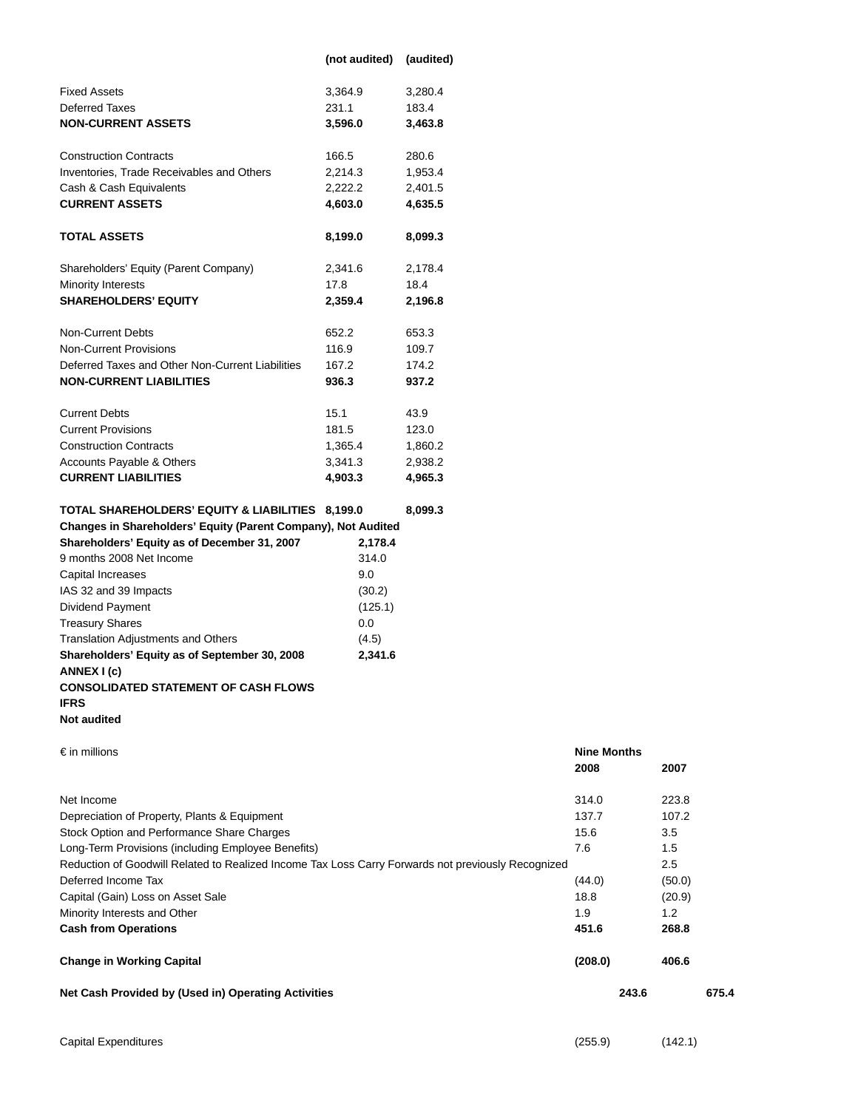|                                                               | (not audited) | (audited) |
|---------------------------------------------------------------|---------------|-----------|
| <b>Fixed Assets</b>                                           | 3,364.9       | 3,280.4   |
| <b>Deferred Taxes</b>                                         | 231.1         | 183.4     |
| <b>NON-CURRENT ASSETS</b>                                     | 3,596.0       | 3,463.8   |
| <b>Construction Contracts</b>                                 | 166.5         | 280.6     |
| Inventories, Trade Receivables and Others                     | 2,214.3       | 1,953.4   |
| Cash & Cash Equivalents                                       | 2,222.2       | 2,401.5   |
| <b>CURRENT ASSETS</b>                                         | 4,603.0       | 4,635.5   |
| <b>TOTAL ASSETS</b>                                           | 8,199.0       | 8,099.3   |
| Shareholders' Equity (Parent Company)                         | 2,341.6       | 2,178.4   |
| Minority Interests                                            | 17.8          | 18.4      |
| <b>SHAREHOLDERS' EQUITY</b>                                   | 2,359.4       | 2,196.8   |
| <b>Non-Current Debts</b>                                      | 652.2         | 653.3     |
| Non-Current Provisions                                        | 116.9         | 109.7     |
| Deferred Taxes and Other Non-Current Liabilities              | 167.2         | 174.2     |
| <b>NON-CURRENT LIABILITIES</b>                                | 936.3         | 937.2     |
| <b>Current Debts</b>                                          | 15.1          | 43.9      |
| <b>Current Provisions</b>                                     | 181.5         | 123.0     |
| <b>Construction Contracts</b>                                 | 1,365.4       | 1,860.2   |
| Accounts Payable & Others                                     | 3,341.3       | 2,938.2   |
| <b>CURRENT LIABILITIES</b>                                    | 4,903.3       | 4,965.3   |
| TOTAL SHAREHOLDERS' EQUITY & LIABILITIES                      | 8,199.0       | 8,099.3   |
| Changes in Shareholders' Equity (Parent Company), Not Audited |               |           |
| Shareholders' Equity as of December 31, 2007                  | 2,178.4       |           |
| 9 months 2008 Net Income                                      | 314.0         |           |
| Capital Increases                                             | 9.0           |           |
| IAS 32 and 39 Impacts                                         | (30.2)        |           |
| <b>Dividend Payment</b>                                       | (125.1)       |           |
| <b>Treasury Shares</b>                                        | 0.0           |           |

# **Shareholders' Equity as of September 30, 2008 2,341.6 ANNEX I (c)**

# **CONSOLIDATED STATEMENT OF CASH FLOWS**

Translation Adjustments and Others (4.5)

# **IFRS**

€ in millions **Nine Months 2008 2007** Net Income 314.0 223.8 Depreciation of Property, Plants & Equipment 137.7 107.2 Stock Option and Performance Share Charges 15.6 3.5 Long-Term Provisions (including Employee Benefits) 7.6 2012 1.5 1.5 Reduction of Goodwill Related to Realized Income Tax Loss Carry Forwards not previously Recognized 2.5 Deferred Income Tax (44.0) (50.0) Capital (Gain) Loss on Asset Sale 18.8 (20.9) (20.9) Minority Interests and Other 1.9 1.2 **Cash from Operations 451.6 268.8 Change in Working Capital (208.0) 406.6 Net Cash Provided by (Used in) Operating Activities 243.6 675.4**

**Not audited**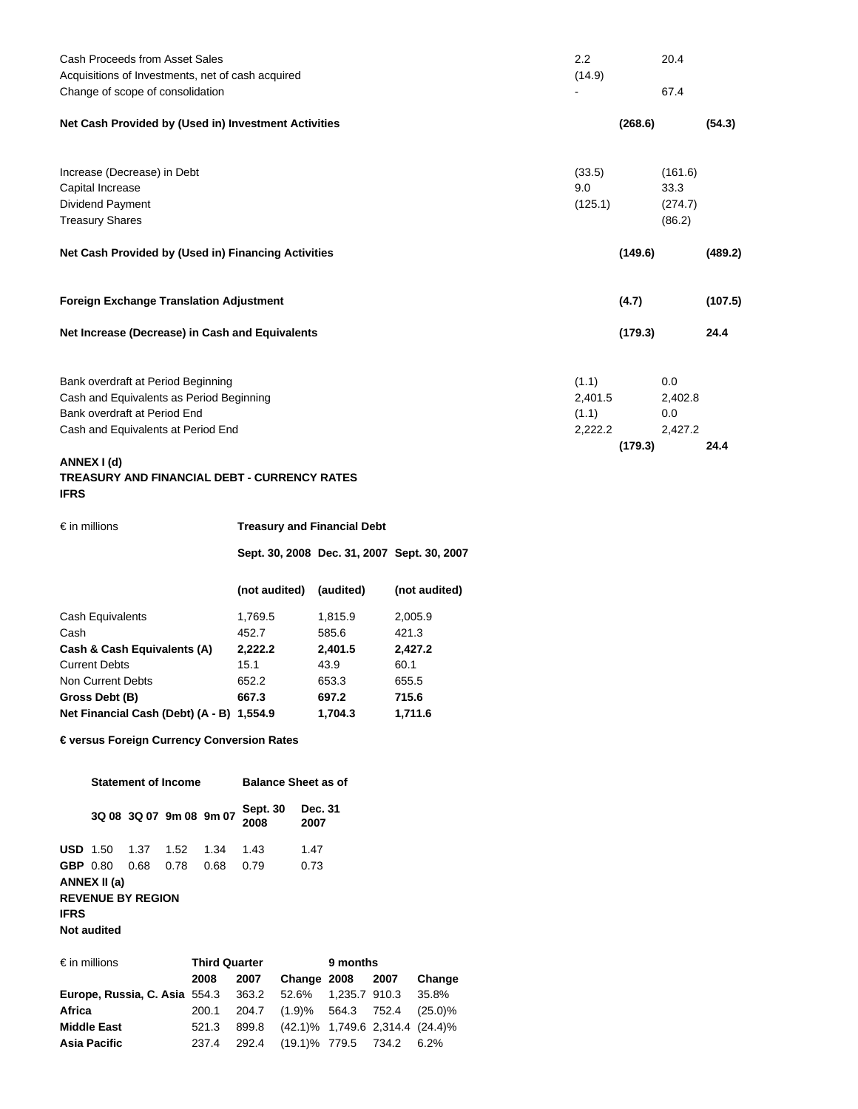| Cash Proceeds from Asset Sales<br>Acquisitions of Investments, net of cash acquired | 2.2<br>(14.9) |         | 20.4    |         |
|-------------------------------------------------------------------------------------|---------------|---------|---------|---------|
| Change of scope of consolidation                                                    |               |         | 67.4    |         |
| Net Cash Provided by (Used in) Investment Activities                                |               | (268.6) |         | (54.3)  |
| Increase (Decrease) in Debt                                                         | (33.5)        |         | (161.6) |         |
| Capital Increase                                                                    | 9.0           |         | 33.3    |         |
| Dividend Payment                                                                    | (125.1)       |         | (274.7) |         |
| <b>Treasury Shares</b>                                                              |               |         | (86.2)  |         |
| Net Cash Provided by (Used in) Financing Activities                                 |               | (149.6) |         | (489.2) |
| <b>Foreign Exchange Translation Adjustment</b>                                      |               | (4.7)   |         | (107.5) |
| Net Increase (Decrease) in Cash and Equivalents                                     |               | (179.3) |         | 24.4    |
| Bank overdraft at Period Beginning                                                  | (1.1)         |         | 0.0     |         |
| Cash and Equivalents as Period Beginning                                            | 2,401.5       |         | 2,402.8 |         |
| Bank overdraft at Period End                                                        | (1.1)         |         | 0.0     |         |
| Cash and Equivalents at Period End                                                  | 2,222.2       |         | 2,427.2 |         |
|                                                                                     |               | (179.3) |         | 24.4    |
| ANNEX I (d)                                                                         |               |         |         |         |

# **TREASURY AND FINANCIAL DEBT - CURRENCY RATES IFRS**

| $\epsilon$ in millions            | <b>Treasury and Financial Debt</b>          |           |               |  |  |  |
|-----------------------------------|---------------------------------------------|-----------|---------------|--|--|--|
|                                   | Sept. 30, 2008 Dec. 31, 2007 Sept. 30, 2007 |           |               |  |  |  |
|                                   | (not audited)                               | (audited) | (not audited) |  |  |  |
| Cash Equivalents                  | 1,769.5                                     | 1,815.9   | 2,005.9       |  |  |  |
| Cash                              | 452.7                                       | 585.6     | 421.3         |  |  |  |
| Cash & Cash Equivalents (A)       | 2,222.2                                     | 2,401.5   | 2,427.2       |  |  |  |
| <b>Current Debts</b>              | 15.1                                        | 43.9      | 60.1          |  |  |  |
| Non Current Debts                 | 652.2                                       | 653.3     | 655.5         |  |  |  |
| Gross Debt (B)                    | 667.3                                       | 697.2     | 715.6         |  |  |  |
| Net Financial Cash (Debt) (A - B) | 1.554.9                                     | 1.704.3   | 1.711.6       |  |  |  |

**€ versus Foreign Currency Conversion Rates**

|                          | <b>Statement of Income</b> |      |                         |      | <b>Balance Sheet as of</b> |                 |
|--------------------------|----------------------------|------|-------------------------|------|----------------------------|-----------------|
|                          |                            |      | 3Q 08 3Q 07 9m 08 9m 07 |      | <b>Sept. 30</b><br>2008    | Dec. 31<br>2007 |
| $USD 1.50$               |                            | 1.37 | 1.52                    | 1.34 | 1.43                       | 1.47            |
| <b>GBP</b> 0.80          |                            | 0.68 | 0.78                    | 0.68 | 0.79                       | 0.73            |
|                          | ANNEX II (a)               |      |                         |      |                            |                 |
| <b>REVENUE BY REGION</b> |                            |      |                         |      |                            |                 |
| <b>IFRS</b>              |                            |      |                         |      |                            |                 |
|                          | Not audited                |      |                         |      |                            |                 |

| $\epsilon$ in millions                                         | <b>Third Quarter</b> |      |                                       | 9 months |  |        |  |
|----------------------------------------------------------------|----------------------|------|---------------------------------------|----------|--|--------|--|
|                                                                | 2008                 | 2007 | Change 2008 2007                      |          |  | Change |  |
| <b>Europe, Russia, C. Asia</b> 554.3 363.2 52.6% 1,235.7 910.3 |                      |      |                                       |          |  | 35.8%  |  |
| Africa                                                         | 200.1                |      | 204.7 (1.9)% 564.3 752.4 (25.0)%      |          |  |        |  |
| <b>Middle East</b>                                             | 521.3                |      | 899.8 (42.1)% 1,749.6 2,314.4 (24.4)% |          |  |        |  |
| <b>Asia Pacific</b>                                            | 237.4                |      | 292.4 (19.1)% 779.5 734.2 6.2%        |          |  |        |  |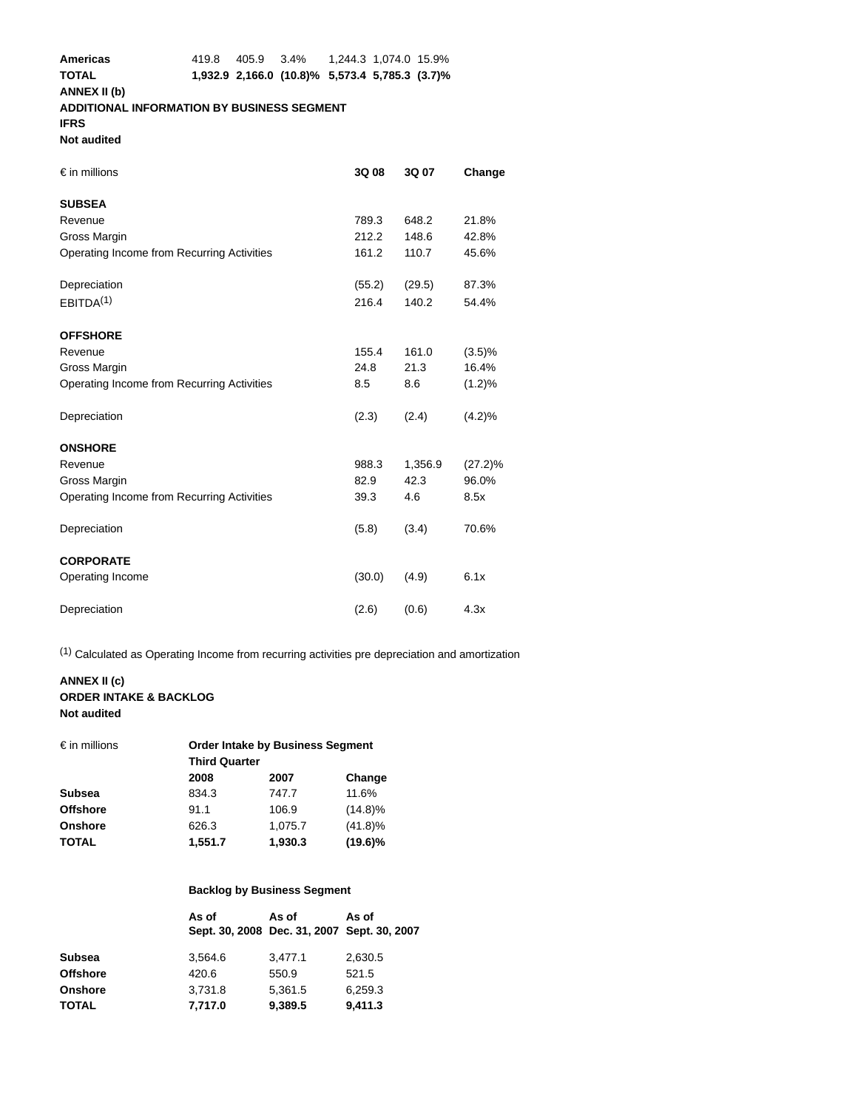# **ADDITIONAL INFORMATION BY BUSINESS SEGMENT**

**IFRS**

# **Not audited**

| $\epsilon$ in millions                     | 3Q 08  | 3Q 07   | Change     |
|--------------------------------------------|--------|---------|------------|
| <b>SUBSEA</b>                              |        |         |            |
| Revenue                                    | 789.3  | 648.2   | 21.8%      |
| Gross Margin                               | 212.2  | 148.6   | 42.8%      |
| Operating Income from Recurring Activities | 161.2  | 110.7   | 45.6%      |
| Depreciation                               | (55.2) | (29.5)  | 87.3%      |
| EBITDA <sup>(1)</sup>                      | 216.4  | 140.2   | 54.4%      |
| <b>OFFSHORE</b>                            |        |         |            |
| Revenue                                    | 155.4  | 161.0   | $(3.5)\%$  |
| Gross Margin                               | 24.8   | 21.3    | 16.4%      |
| Operating Income from Recurring Activities | 8.5    | 8.6     | $(1.2)\%$  |
| Depreciation                               | (2.3)  | (2.4)   | $(4.2)\%$  |
| <b>ONSHORE</b>                             |        |         |            |
| Revenue                                    | 988.3  | 1,356.9 | $(27.2)\%$ |
| Gross Margin                               | 82.9   | 42.3    | 96.0%      |
| Operating Income from Recurring Activities | 39.3   | 4.6     | 8.5x       |
| Depreciation                               | (5.8)  | (3.4)   | 70.6%      |
| <b>CORPORATE</b>                           |        |         |            |
| Operating Income                           | (30.0) | (4.9)   | 6.1x       |
| Depreciation                               | (2.6)  | (0.6)   | 4.3x       |

(1) Calculated as Operating Income from recurring activities pre depreciation and amortization

# **ANNEX II (c) ORDER INTAKE & BACKLOG Not audited**

| <b>Order Intake by Business Segment</b><br><b>Third Quarter</b> |         |            |  |
|-----------------------------------------------------------------|---------|------------|--|
| 2008                                                            | 2007    | Change     |  |
| 834.3                                                           | 747.7   | 11.6%      |  |
| 91.1                                                            | 106.9   | $(14.8)\%$ |  |
| 626.3                                                           | 1,075.7 | $(41.8)\%$ |  |
| 1,551.7                                                         | 1,930.3 | $(19.6)\%$ |  |
|                                                                 |         |            |  |

# **Backlog by Business Segment**

|                 | As of<br>Sept. 30, 2008 Dec. 31, 2007 Sept. 30, 2007 | As of   | As of   |
|-----------------|------------------------------------------------------|---------|---------|
| <b>Subsea</b>   | 3.564.6                                              | 3,477.1 | 2,630.5 |
| <b>Offshore</b> | 420.6                                                | 550.9   | 521.5   |
| <b>Onshore</b>  | 3.731.8                                              | 5.361.5 | 6.259.3 |
| <b>TOTAL</b>    | 7,717.0                                              | 9,389.5 | 9,411.3 |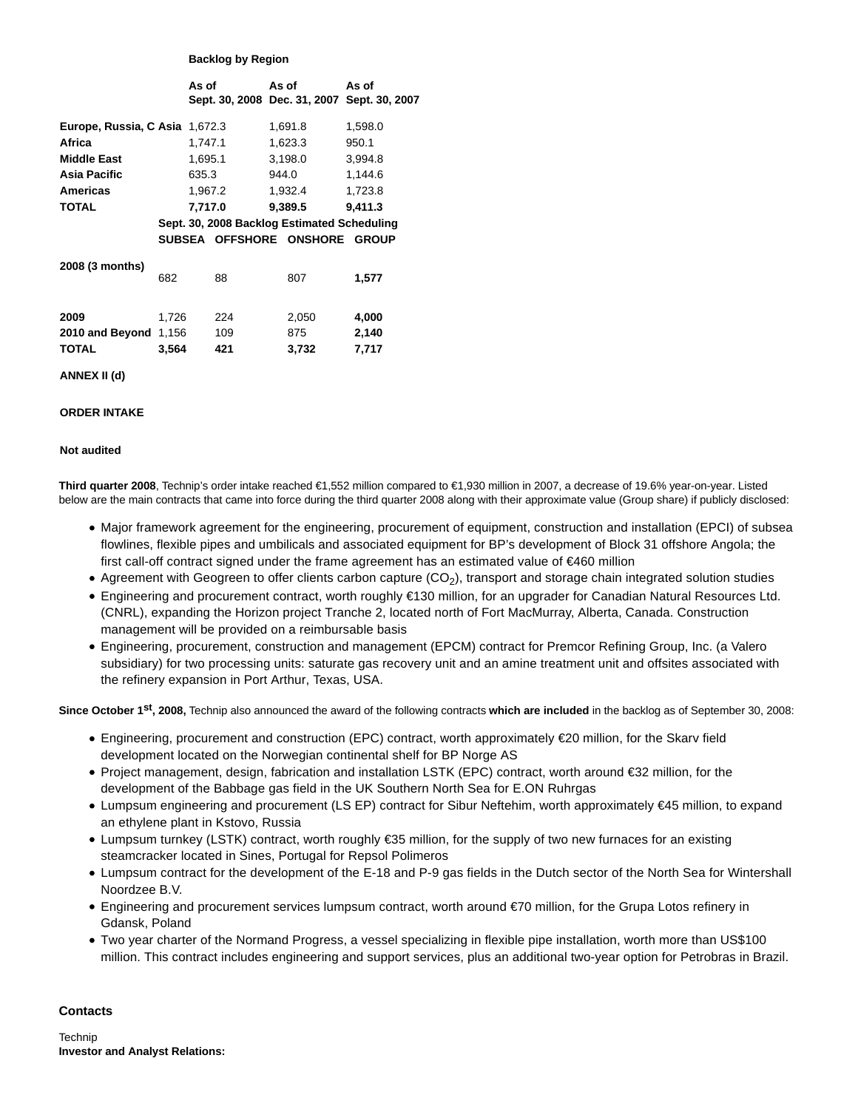# **Backlog by Region**

|                                |       | As of   |     | As of<br>Sept. 30, 2008 Dec. 31, 2007 Sept. 30, 2007                         | As of   |  |
|--------------------------------|-------|---------|-----|------------------------------------------------------------------------------|---------|--|
| Europe, Russia, C Asia 1,672.3 |       |         |     | 1,691.8                                                                      | 1,598.0 |  |
| Africa                         |       | 1,747.1 |     | 1,623.3                                                                      | 950.1   |  |
| <b>Middle East</b>             |       | 1,695.1 |     | 3,198.0                                                                      | 3,994.8 |  |
| Asia Pacific                   |       | 635.3   |     | 944.0                                                                        | 1,144.6 |  |
| Americas                       |       | 1,967.2 |     | 1,932.4                                                                      | 1,723.8 |  |
| <b>TOTAL</b>                   |       | 7,717.0 |     | 9,389.5                                                                      | 9,411.3 |  |
|                                |       |         |     | Sept. 30, 2008 Backlog Estimated Scheduling<br>SUBSEA OFFSHORE ONSHORE GROUP |         |  |
| 2008 (3 months)                | 682   |         | 88  | 807                                                                          | 1,577   |  |
| 2009                           | 1,726 |         | 224 | 2,050                                                                        | 4,000   |  |
| 2010 and Beyond 1,156          |       |         | 109 | 875                                                                          | 2,140   |  |
| <b>TOTAL</b>                   | 3,564 |         | 421 | 3,732                                                                        | 7,717   |  |
| ANNEX II (d)                   |       |         |     |                                                                              |         |  |

# **ORDER INTAKE**

#### **Not audited**

**Third quarter 2008**, Technip's order intake reached €1,552 million compared to €1,930 million in 2007, a decrease of 19.6% year-on-year. Listed below are the main contracts that came into force during the third quarter 2008 along with their approximate value (Group share) if publicly disclosed:

- Major framework agreement for the engineering, procurement of equipment, construction and installation (EPCI) of subsea flowlines, flexible pipes and umbilicals and associated equipment for BP's development of Block 31 offshore Angola; the first call-off contract signed under the frame agreement has an estimated value of €460 million
- Agreement with Geogreen to offer clients carbon capture  $(CO<sub>2</sub>)$ , transport and storage chain integrated solution studies
- Engineering and procurement contract, worth roughly €130 million, for an upgrader for Canadian Natural Resources Ltd. (CNRL), expanding the Horizon project Tranche 2, located north of Fort MacMurray, Alberta, Canada. Construction management will be provided on a reimbursable basis
- Engineering, procurement, construction and management (EPCM) contract for Premcor Refining Group, Inc. (a Valero subsidiary) for two processing units: saturate gas recovery unit and an amine treatment unit and offsites associated with the refinery expansion in Port Arthur, Texas, USA.

**Since October 1st, 2008,** Technip also announced the award of the following contracts **which are included** in the backlog as of September 30, 2008:

- Engineering, procurement and construction (EPC) contract, worth approximately €20 million, for the Skarv field development located on the Norwegian continental shelf for BP Norge AS
- Project management, design, fabrication and installation LSTK (EPC) contract, worth around €32 million, for the development of the Babbage gas field in the UK Southern North Sea for E.ON Ruhrgas
- Lumpsum engineering and procurement (LS EP) contract for Sibur Neftehim, worth approximately €45 million, to expand an ethylene plant in Kstovo, Russia
- Lumpsum turnkey (LSTK) contract, worth roughly €35 million, for the supply of two new furnaces for an existing steamcracker located in Sines, Portugal for Repsol Polimeros
- Lumpsum contract for the development of the E-18 and P-9 gas fields in the Dutch sector of the North Sea for Wintershall Noordzee B.V.
- Engineering and procurement services lumpsum contract, worth around €70 million, for the Grupa Lotos refinery in Gdansk, Poland
- Two year charter of the Normand Progress, a vessel specializing in flexible pipe installation, worth more than US\$100 million. This contract includes engineering and support services, plus an additional two-year option for Petrobras in Brazil.

#### **Contacts**